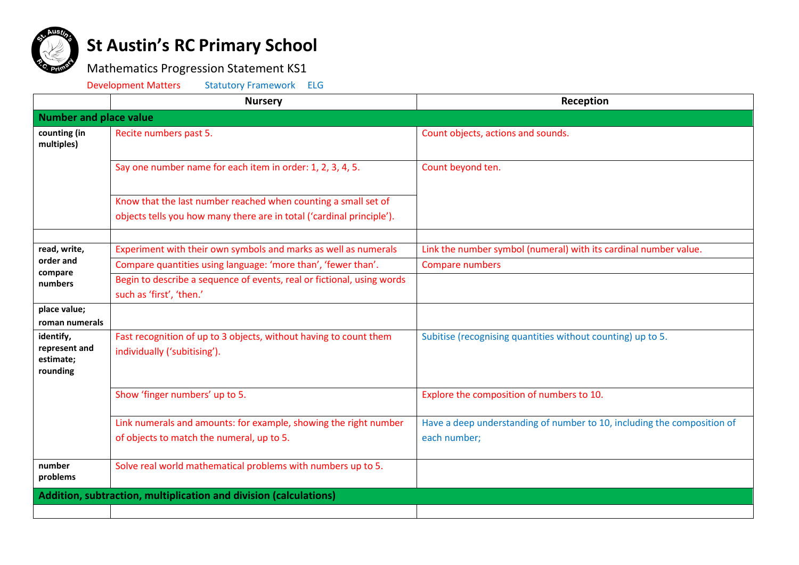

## **St Austin's RC Primary School**

## Mathematics Progression Statement KS1

Development Matters Statutory Framework ELG

|                                                     | <b>Nursery</b>                                                                                                | Reception                                                                               |  |  |
|-----------------------------------------------------|---------------------------------------------------------------------------------------------------------------|-----------------------------------------------------------------------------------------|--|--|
| <b>Number and place value</b>                       |                                                                                                               |                                                                                         |  |  |
| counting (in<br>multiples)                          | Recite numbers past 5.                                                                                        | Count objects, actions and sounds.                                                      |  |  |
|                                                     | Say one number name for each item in order: 1, 2, 3, 4, 5.                                                    | Count beyond ten.                                                                       |  |  |
|                                                     | Know that the last number reached when counting a small set of                                                |                                                                                         |  |  |
|                                                     | objects tells you how many there are in total ('cardinal principle').                                         |                                                                                         |  |  |
| read, write,                                        |                                                                                                               |                                                                                         |  |  |
| order and                                           | Experiment with their own symbols and marks as well as numerals                                               | Link the number symbol (numeral) with its cardinal number value.                        |  |  |
| compare                                             | Compare quantities using language: 'more than', 'fewer than'.                                                 | Compare numbers                                                                         |  |  |
| numbers                                             | Begin to describe a sequence of events, real or fictional, using words<br>such as 'first', 'then.'            |                                                                                         |  |  |
| place value;<br>roman numerals                      |                                                                                                               |                                                                                         |  |  |
| identify,<br>represent and<br>estimate;<br>rounding | Fast recognition of up to 3 objects, without having to count them<br>individually ('subitising').             | Subitise (recognising quantities without counting) up to 5.                             |  |  |
|                                                     | Show 'finger numbers' up to 5.                                                                                | Explore the composition of numbers to 10.                                               |  |  |
|                                                     | Link numerals and amounts: for example, showing the right number<br>of objects to match the numeral, up to 5. | Have a deep understanding of number to 10, including the composition of<br>each number; |  |  |
| number<br>problems                                  | Solve real world mathematical problems with numbers up to 5.                                                  |                                                                                         |  |  |
|                                                     | Addition, subtraction, multiplication and division (calculations)                                             |                                                                                         |  |  |
|                                                     |                                                                                                               |                                                                                         |  |  |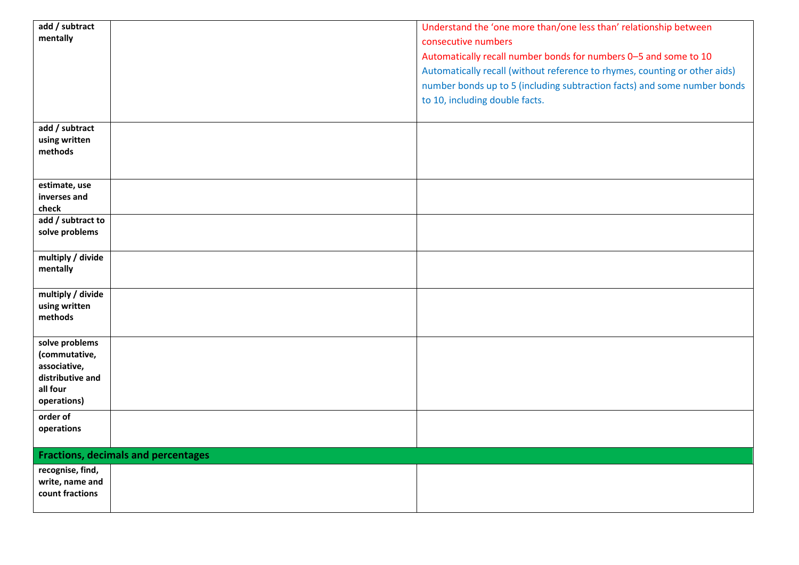| add / subtract           |                                            | Understand the 'one more than/one less than' relationship between          |
|--------------------------|--------------------------------------------|----------------------------------------------------------------------------|
| mentally                 |                                            | consecutive numbers                                                        |
|                          |                                            | Automatically recall number bonds for numbers 0-5 and some to 10           |
|                          |                                            | Automatically recall (without reference to rhymes, counting or other aids) |
|                          |                                            |                                                                            |
|                          |                                            | number bonds up to 5 (including subtraction facts) and some number bonds   |
|                          |                                            | to 10, including double facts.                                             |
|                          |                                            |                                                                            |
| add / subtract           |                                            |                                                                            |
| using written            |                                            |                                                                            |
| methods                  |                                            |                                                                            |
|                          |                                            |                                                                            |
| estimate, use            |                                            |                                                                            |
| inverses and             |                                            |                                                                            |
| check                    |                                            |                                                                            |
| add / subtract to        |                                            |                                                                            |
| solve problems           |                                            |                                                                            |
|                          |                                            |                                                                            |
| multiply / divide        |                                            |                                                                            |
| mentally                 |                                            |                                                                            |
|                          |                                            |                                                                            |
| multiply / divide        |                                            |                                                                            |
| using written<br>methods |                                            |                                                                            |
|                          |                                            |                                                                            |
| solve problems           |                                            |                                                                            |
| (commutative,            |                                            |                                                                            |
| associative,             |                                            |                                                                            |
| distributive and         |                                            |                                                                            |
| all four                 |                                            |                                                                            |
| operations)              |                                            |                                                                            |
| order of                 |                                            |                                                                            |
| operations               |                                            |                                                                            |
|                          |                                            |                                                                            |
|                          | <b>Fractions, decimals and percentages</b> |                                                                            |
| recognise, find,         |                                            |                                                                            |
| write, name and          |                                            |                                                                            |
| count fractions          |                                            |                                                                            |
|                          |                                            |                                                                            |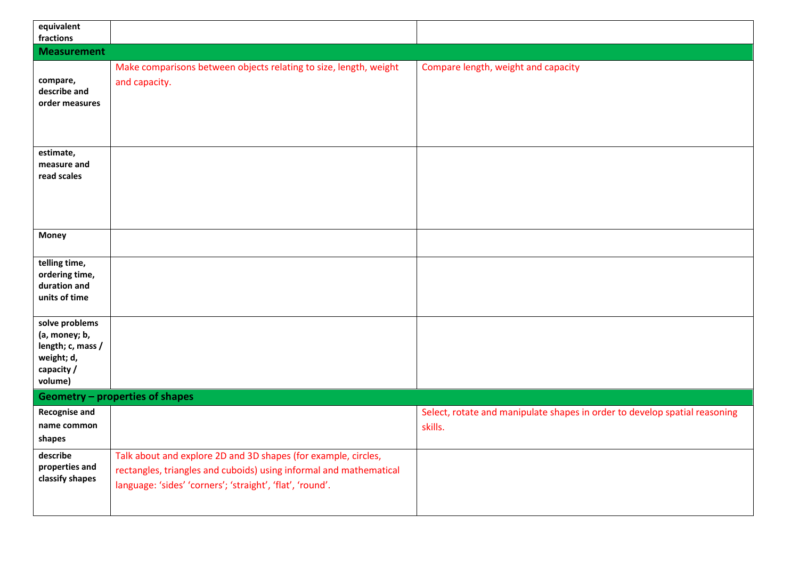| equivalent<br>fractions                                                                     |                                                                                                                                                                                                   |                                                                                       |
|---------------------------------------------------------------------------------------------|---------------------------------------------------------------------------------------------------------------------------------------------------------------------------------------------------|---------------------------------------------------------------------------------------|
| <b>Measurement</b>                                                                          |                                                                                                                                                                                                   |                                                                                       |
| compare,<br>describe and<br>order measures                                                  | Make comparisons between objects relating to size, length, weight<br>and capacity.                                                                                                                | Compare length, weight and capacity                                                   |
| estimate,<br>measure and<br>read scales                                                     |                                                                                                                                                                                                   |                                                                                       |
| <b>Money</b>                                                                                |                                                                                                                                                                                                   |                                                                                       |
| telling time,<br>ordering time,<br>duration and<br>units of time                            |                                                                                                                                                                                                   |                                                                                       |
| solve problems<br>(a, money; b,<br>length; c, mass /<br>weight; d,<br>capacity /<br>volume) |                                                                                                                                                                                                   |                                                                                       |
|                                                                                             | <b>Geometry - properties of shapes</b>                                                                                                                                                            |                                                                                       |
| Recognise and<br>name common<br>shapes                                                      |                                                                                                                                                                                                   | Select, rotate and manipulate shapes in order to develop spatial reasoning<br>skills. |
| describe<br>properties and<br>classify shapes                                               | Talk about and explore 2D and 3D shapes (for example, circles,<br>rectangles, triangles and cuboids) using informal and mathematical<br>language: 'sides' 'corners'; 'straight', 'flat', 'round'. |                                                                                       |